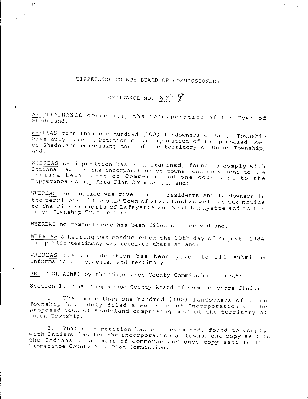## TIPPECANOE COUNTY BOARD OF COMMISSIONERS

 $\frac{3}{4}$ 

## ORDINANCE NO.  $84 - 9$

An ORDINANCE **concerning** the incorporation of the Town of Shadeland.

WHEREAS more than one hundred (100) landowners of Union Township have duly filed a Petition of Incorporation of the proposed town of Shadeland comprising most of the territory of Union Township,

WHEREAS said petition has been examined, found to comply with Indiana law for the incorporation of towns, one copy sent to the Indiana Department of Commerce and one copy sent to the Tippecanoe County Area Plan Commission, and:

WHEREAS due notice was given to the residents and landowners in the territory of the said Town of Shadeland as wel 1 as due notice to the City Councils of Lafayette and West Lafayette and to the Union Towhship Trustee and:

WHEREAS no remonstrance has been filed or received and:

WHEREAS a hearing was conducted on the 20th day of August, 1984 and public testimony was received there at and:

WHEREAS due consideration has been given to all submitted information, documents, and testimony:

BE IT ORDAINED by the Tippecanoe County Commissioners that:

Section I: That Tippecanoe County Board of Commissioners finds:

1. That more than one hundred (100) landowners of Union Township have duly filed a Petition of Incorporation of the proposed town of Shadeland comprising most of the territory of Union Township.

2. That said petition has been examined, found to comply with Indiam law for the incorporation of towns, one copy sent to the Indiana Department of Commerce and once copy sent to the Tippecanoe County Area Plan Commission.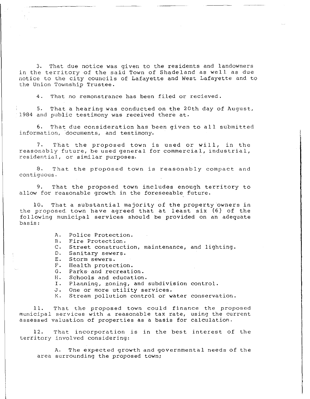3. That due notice was given to the residents and landowners in the territory of the said Town of Shadeland as well as due notice to the city councils of Lafayette and West Lafayette and to the Union Township Trustee.

4. That no remonstrance has been filed or recieved.

5. That a hearing was conducted on the 20th day of August, 1984 and public testimony was received there at.

6. That due consideration has been given to all submitted information, documents, and testimony.

7. That the proposed town is used or will, in the reasonably future, be used general for commercial, industrial, residential, or similar purposes.

8. That the proposed town is reasonably compact and contiguous.

9. That the proposed town includes enough territory to allow for reasonable growth in the foreseeable future.

10. That a substantial majority of the property owners in the proposed town have agreed that at least six (6) of the following municipal services should be provided on an adequate basis:

A. Police Protection.

B. Fire Protection.

c. Street construction, maintenance, and lighting.

D. Sanitary sewers.

E. Storm sewers.

F. Health protection.<br>G. Parks and recreati G. Parks and recreation.<br>H. Schools and education

Schools and education.

I. Planning, zoning, and subdivision control.

J. One or more utility services.<br>K. Stream pollution control or w

Stream pollution control or water conservation.

11. That the proposed town could finance the proposed municipal services with a reasonable tax rate, using the current assessed valuation of properties as a basis for calculation.

12. That incorporation is in the best interest of the territory involved considering:

A. The expected growth and governmental needs of the area surrounding the proposed town;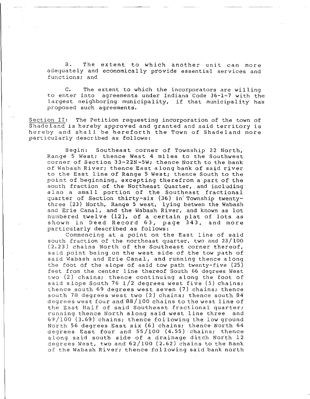B. The extent to which another unit can more adequately and economically provide essential services and functions; and

c. The extent to which the incorporators are willing to enter into agreements under Indiana Code 36-1-7 with the largest neighboring municipality, if that municipality has proposed such agreements.

Section II: The Petition requesting incorporation of the town of Shadeland is hereby approved and granted and said territory is hereby and shall be hereforth the Town of Shadeland more particularly described as follows:

Begin: Southeast corner of Township 22 North, Range 5 West; thence West 4 miles to the Southwest corner of Section 33-22N-5W; thence North to the bank of Wabash River; thence East along bank of said river to the East line of Range 5 West; thence South to the point of beginning, excepting therefrom a part of the south fraction of the Northeast Quarter, and including also a small portion of the Southeast fractional quarter of Section thirty-six (36) in Township twentythree (23) North, Range 5 west, lying betwen the Wabash and Erie Canal, and the Wabash River, and known as lot numbered twelve (12), of a certain plat of lots as shown in Deed Record 63, page 343, and more particularly described as follows:

Commencing at a point on the East line of said south fraction of the northeast quarter, two and 23/100 (2.23) chains North of the Southeast corner thereof, said point being on the west side of the tow path of said Wabash and Erie Canal, and running thence along the foot of the slope of said tow path twenty-five (25) feet from the center line thereof South 66 degrees west two (2) chains; thence continuing along the foot of said slope South 76  $1/2$  degrees west five (5) chains; thence south 69 degrees west seven (7) chains; thence south 78 degrees west two (2) chains; thence south 84 degrees west four and 88/ 100 chains to the west line of the East Half of said Southeast fractional quarter; running thence North along said west line three 69/100 (3.69) chains; thence following the low ground North 56 degrees East six (6) chains; thence North 64 degrees East four and 55/100 (4.55) ·chains; thence along said south side of a drainage ditch North 12 degrees West, two and 62/100 (2.62) chains to the Bank of the Wabash River; thence fol lowing said bank north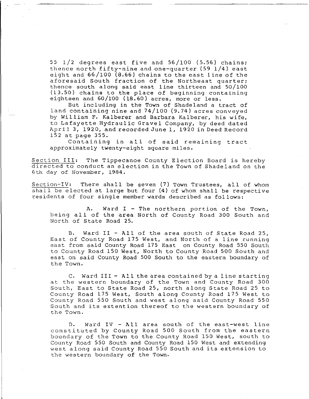55 1/2 degrees east five and 56/100 (5.56) chains; thence north fifty-nine and one-quarter (59 1/4) east eight and 66/100 (8.66) chains to the east line of the aforesaid South fraction of the Northeast quarter; thence south along said east line thirteen and 50/100 (13.50) chains to the place of beginning containing eighteen and 60/100 (18.60) acres, more or less.

But including in the Town of Shadeland a tract of land containing nine and 74/100 (9. 74) acres conveyed by William F. Kalberer and Barbara Kalberer, his wife, to Lafayette Hydraulic Gravel Company, by deed dated April 3, 1920, and recorded June 1, 1920 in Deed Record 152 at page 355.

Containing in all of said remaining tract approximately twenty-eight square miles.

Section III: The Tippecanoe County Election Board is hereby directed to conduct an election in the Town of Shadeland on the 6th day of November, 1984.

Section-IV: There shall be seven  $(7)$  Town Trustees, all of whom shall be elected at large but four (4) of whom shall be respective residents of four single member wards described as follows:

A. Ward I - The northern portion of the Town, being all of the area North of County Road 300 South and North of State Road 25.

B. Ward II - All of the area south of State Road 25, East of County Road 175 West, and North of a line running east from said County Road 175 East on County Road 550 South to County Road 150 West, North to County Road 500 South and east on said County Road 500 South to the eastern boundary of the Town.

c. Ward III - All the area contained by a line starting at the western boundary of the Town and County Road 300 South, East to State Road 25, north along State Road 25 to County Road 175 West, South along County Road 175 West to County Road 550 South and west along said County Road 550 South and its extention thereof to the western boundary of the Town.

D. Ward IV - All area south of the east-west line constituted by County Road 500 South from the eastern boundary of the Town to the County Road 150 West, south to County Road 550 South and County Road 150 West and extending west along said County Road 550 South and its extension to the western boundary of the Town.